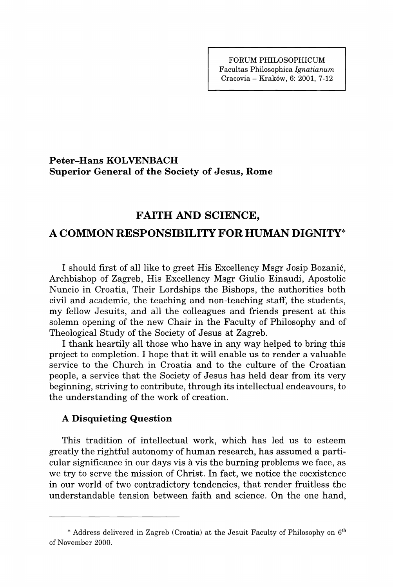## **Peter-Hans KOLVENBACH Superior General of the Society of Jesus, Rome**

## **FAITH AND SCIENCE,**

# **A COMMON RESPONSIBILITY FOR HUMAN DIGNITY\***

I should first of all like to greet His Excellency Msgr Josip Bozanic, Archbishop of Zagreb, His Excellency Msgr Giulio Einaudi, Apostolic Nuncio in Croatia, Their Lordships the Bishops, the authorities both civil and academic, the teaching and non-teaching staff, the students, my fellow Jesuits, and all the colleagues and friends present at this solemn opening of the new Chair in the Faculty of Philosophy and of Theological Study of the Society of Jesus at Zagreb.

I thank heartily all those who have in any way helped to bring this project to completion. I hope that it will enable us to render a valuable service to the Church in Croatia and to the culture of the Croatian people, a service that the Society of Jesus has held dear from its very beginning, striving to contribute, through its intellectual endeavours, to the understanding of the work of creation.

### **A Disquieting Question**

This tradition of intellectual work, which has led us to esteem greatly the rightful autonomy of human research, has assumed a particular significance in our days vis ä vis the burning problems we face, as we try to serve the mission of Christ. In fact, we notice the coexistence in our world of two contradictory tendencies, that render fruitless the understandable tension between faith and science. On the one hand,

**<sup>\*</sup> Address delivered in Zagreb (Croatia) at the Jesuit Faculty of Philosophy on 6\* of November 2000.**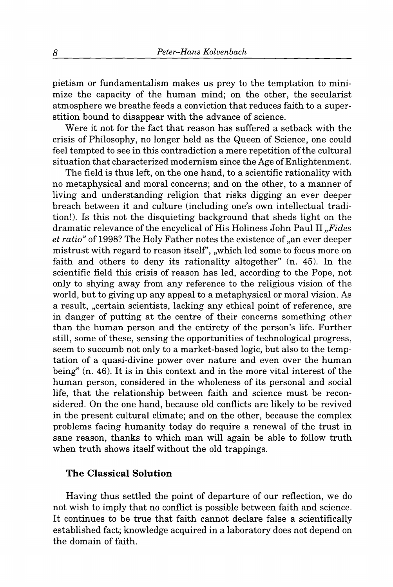pietism or fundamentalism makes us prey to the temptation to minimize the capacity of the human mind; on the other, the secularist atmosphere we breathe feeds a conviction that reduces faith to a superstition bound to disappear with the advance of science.

Were it not for the fact that reason has suffered a setback with the crisis of Philosophy, no longer held as the Queen of Science, one could feel tempted to see in this contradiction a mere repetition of the cultural situation that characterized modernism since the Age of Enlightenment.

The field is thus left, on the one hand, to a scientific rationality with no metaphysical and moral concerns; and on the other, to a manner of living and understanding religion that risks digging an ever deeper breach between it and culture (including one's own intellectual tradition!). Is this not the disquieting background that sheds light on the dramatic relevance of the encyclical of His Holiness John Paul II, Fides *et ratio*" of 1998? The Holy Father notes the existence of "an ever deeper mistrust with regard to reason itself", "which led some to focus more on faith and others to deny its rationality altogether" (n. 45). In the scientific field this crisis of reason has led, according to the Pope, not only to shying away from any reference to the religious vision of the world, but to giving up any appeal to a metaphysical or moral vision. As a result, "certain scientists, lacking any ethical point of reference, are in danger of putting at the centre of their concerns something other than the human person and the entirety of the person's life. Further still, some of these, sensing the opportunities of technological progress, seem to succumb not only to a market-based logic, but also to the temptation of a quasi-divine power over nature and even over the human being" (n. 46). It is in this context and in the more vital interest of the human person, considered in the wholeness of its personal and social life, that the relationship between faith and science must be reconsidered. On the one hand, because old conflicts are likely to be revived in the present cultural climate; and on the other, because the complex problems facing humanity today do require a renewal of the trust in sane reason, thanks to which man will again be able to follow truth when truth shows itself without the old trappings.

### **The Classical Solution**

Having thus settled the point of departure of our reflection, we do not wish to imply that no conflict is possible between faith and science. It continues to be true that faith cannot declare false a scientifically established fact; knowledge acquired in a laboratory does not depend on the domain of faith.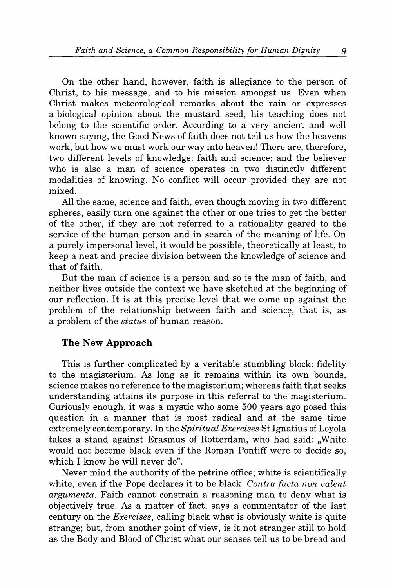On the other hand, however, faith is allegiance to the person of Christ, to his message, and to his mission amongst us. Even when Christ makes meteorological remarks about the rain or expresses a biological opinion about the mustard seed, his teaching does not belong to the scientific order. According to a very ancient and well known saying, the Good News of faith does not tell us how the heavens work, but how we must work our way into heaven! There are, therefore, two different levels of knowledge: faith and science; and the believer who is also a man of science operates in two distinctly different modalities of knowing. No conflict will occur provided they are not mixed.

All the same, science and faith, even though moving in two different spheres, easily turn one against the other or one tries to get the better of the other, if they are not referred to a rationality geared to the service of the human person and in search of the meaning of life. On a purely impersonal level, it would be possible, theoretically at least, to keep a neat and precise division between the knowledge of science and that of faith.

But the man of science is a person and so is the man of faith, and neither lives outside the context we have sketched at the beginning of our reflection. It is at this precise level that we come up against the problem of the relationship between faith and science, that is, as a problem of the *status* of human reason.

### **The New Approach**

This is further complicated by a veritable stumbling block: fidelity to the magisterium. As long as it remains within its own bounds, science makes no reference to the magisterium; whereas faith that seeks understanding attains its purpose in this referral to the magisterium. Curiously enough, it was a mystic who some 500 years ago posed this question in a manner that is most radical and at the same time extremely contemporary. In the *Spiritual Exercises* St Ignatius of Loyola takes a stand against Erasmus of Rotterdam, who had said: "White would not become black even if the Roman Pontiff were to decide so, which I know he will never do".

Never mind the authority of the petrine office; white is scientifically white, even if the Pope declares it to be black. *Contra facta non valent argumenta.* Faith cannot constrain a reasoning man to deny what is objectively true. As a matter of fact, says a commentator of the last century on the *Exercises,* calling black what is obviously white is quite strange; but, from another point of view, is it not stranger still to hold as the Body and Blood of Christ what our senses tell us to be bread and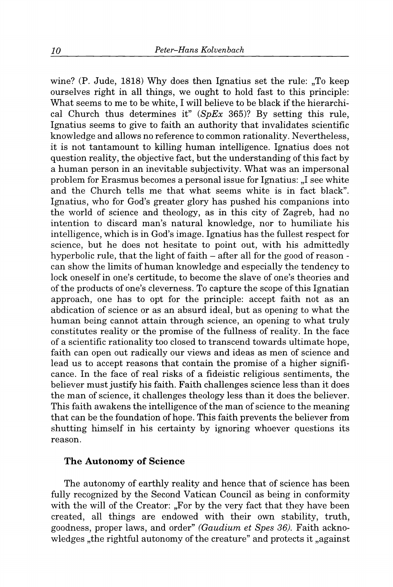wine? (P. Jude,  $1818$ ) Why does then Ignatius set the rule: "To keep ourselves right in all things, we ought to hold fast to this principle: What seems to me to be white, I will believe to be black if the hierarchical Church thus determines it" *{SpEx* 365)? By setting this rule, Ignatius seems to give to faith an authority that invalidates scientific knowledge and allows no reference to common rationality. Nevertheless, it is not tantamount to killing human intelligence. Ignatius does not question reality, the objective fact, but the understanding of this fact by a human person in an inevitable subjectivity. What was an impersonal problem for Erasmus becomes a personal issue for Ignatius: "I see white and the Church tells me that what seems white is in fact black". Ignatius, who for God's greater glory has pushed his companions into the world of science and theology, as in this city of Zagreb, had no intention to discard man's natural knowledge, nor to humiliate his intelligence, which is in God's image. Ignatius has the fullest respect for science, but he does not hesitate to point out, with his admittedly hyperbolic rule, that the light of faith  $-$  after all for the good of reason can show the limits of human knowledge and especially the tendency to lock oneself in one's certitude, to become the slave of one's theories and of the products of one's cleverness. To capture the scope of this Ignatian approach, one has to opt for the principle: accept faith not as an abdication of science or as an absurd ideal, but as opening to what the human being cannot attain through science, an opening to what truly constitutes reality or the promise of the fullness of reality. In the face of a scientific rationality too closed to transcend towards ultimate hope, faith can open out radically our views and ideas as men of science and lead us to accept reasons that contain the promise of a higher significance. In the face of real risks of a fideistic religious sentiments, the believer must justify his faith. Faith challenges science less than it does the man of science, it challenges theology less than it does the believer. This faith awakens the intelligence of the man of science to the meaning that can be the foundation of hope. This faith prevents the believer from shutting himself in his certainty by ignoring whoever questions its reason.

#### **The Autonomy of Science**

The autonomy of earthly reality and hence that of science has been fully recognized by the Second Vatican Council as being in conformity with the will of the Creator: "For by the very fact that they have been created, all things are endowed with their own stability, truth, goodness, proper laws, and order" *(Gaudium et Spes 36).* Faith acknowledges , the rightful autonomy of the creature" and protects it , against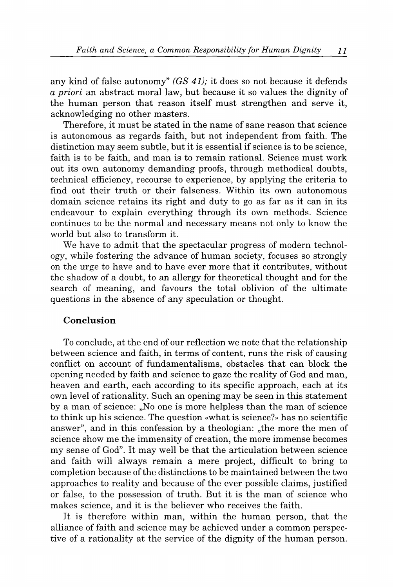any kind of false autonomy" *(GS 41);* it does so not because it defends *a priori* an abstract moral law, but because it so values the dignity of the human person that reason itself must strengthen and serve it, acknowledging no other masters.

Therefore, it must be stated in the name of sane reason that science is autonomous as regards faith, but not independent from faith. The distinction may seem subtle, but it is essential if science is to be science, faith is to be faith, and man is to remain rational. Science must work out its own autonomy demanding proofs, through methodical doubts, technical efficiency, recourse to experience, by applying the criteria to find out their truth or their falseness. Within its own autonomous domain science retains its right and duty to go as far as it can in its endeavour to explain everything through its own methods. Science continues to be the normal and necessary means not only to know the world but also to transform it.

We have to admit that the spectacular progress of modern technology, while fostering the advance of human society, focuses so strongly on the urge to have and to have ever more that it contributes, without the shadow of a doubt, to an allergy for theoretical thought and for the search of meaning, and favours the total oblivion of the ultimate questions in the absence of any speculation or thought.

### **Conclusion**

To conclude, at the end of our reflection we note that the relationship between science and faith, in terms of content, runs the risk of causing conflict on account of fundamentalisms, obstacles that can block the opening needed by faith and science to gaze the reality of God and man, heaven and earth, each according to its specific approach, each at its own level of rationality. Such an opening may be seen in this statement by a man of science: "No one is more helpless than the man of science to think up his science. The question «what is science?» has no scientific answer", and in this confession by a theologian: "the more the men of science show me the immensity of creation, the more immense becomes my sense of God". It may well be that the articulation between science and faith will always remain a mere project, difficult to bring to completion because of the distinctions to be maintained between the two approaches to reality and because of the ever possible claims, justified or false, to the possession of truth. But it is the man of science who makes science, and it is the believer who receives the faith.

It is therefore within man, within the human person, that the alliance of faith and science may be achieved under a common perspective of a rationality at the service of the dignity of the human person.